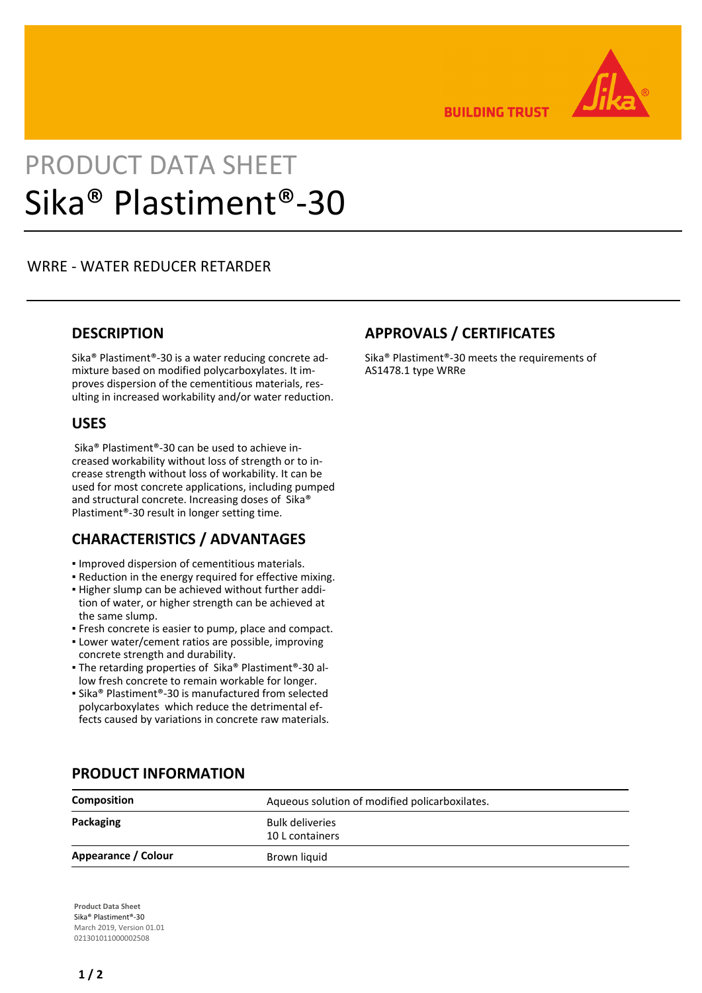

**BUILDING TRUST** 

# PRODUCT DATA SHEET Sika® Plastiment®-30

# WRRE - WATER REDUCER RETARDER

# **DESCRIPTION**

Sika® Plastiment®-30 is a water reducing concrete admixture based on modified polycarboxylates. It improves dispersion of the cementitious materials, resulting in increased workability and/or water reduction.

# **USES**

 Sika® Plastiment®-30 can be used to achieve increased workability without loss of strength or to increase strength without loss of workability. It can be used for most concrete applications, including pumped and structural concrete. Increasing doses of Sika® Plastiment®-30 result in longer setting time.

# **CHARACTERISTICS / ADVANTAGES**

- Improved dispersion of cementitious materials.
- Reduction in the energy required for effective mixing.
- Higher slump can be achieved without further addi-▪ tion of water, or higher strength can be achieved at the same slump.
- Fresh concrete is easier to pump, place and compact.
- Lower water/cement ratios are possible, improving concrete strength and durability.
- The retarding properties of Sika® Plastiment®-30 allow fresh concrete to remain workable for longer.
- Sika® Plastiment®-30 is manufactured from selected polycarboxylates which reduce the detrimental effects caused by variations in concrete raw materials.

# **APPROVALS / CERTIFICATES**

Sika® Plastiment®-30 meets the requirements of AS1478.1 type WRRe

| Composition         | Aqueous solution of modified policarboxilates. |
|---------------------|------------------------------------------------|
| Packaging           | <b>Bulk deliveries</b><br>10 L containers      |
| Appearance / Colour | Brown liquid                                   |

# **PRODUCT INFORMATION**

**Product Data Sheet** Sika® Plastiment®-30 March 2019, Version 01.01 021301011000002508